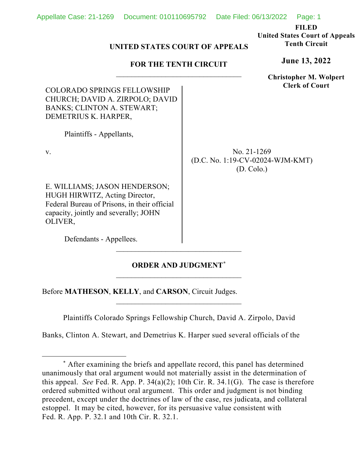| <b>FOR THE TENTH CIRCUIT</b>                                                                                                                                        |  | <b>June 13, 2022</b>                                                   |
|---------------------------------------------------------------------------------------------------------------------------------------------------------------------|--|------------------------------------------------------------------------|
| <b>COLORADO SPRINGS FELLOWSHIP</b><br>CHURCH; DAVID A. ZIRPOLO; DAVID<br>BANKS; CLINTON A. STEWART;<br>DEMETRIUS K. HARPER,                                         |  | <b>Christopher M. Wolpert</b><br><b>Clerk of Court</b>                 |
| Plaintiffs - Appellants,                                                                                                                                            |  |                                                                        |
| V.                                                                                                                                                                  |  | No. 21-1269<br>(D.C. No. 1:19-CV-02024-WJM-KMT)<br>$(D. \text{Colo.})$ |
| E. WILLIAMS; JASON HENDERSON;<br>HUGH HIRWITZ, Acting Director,<br>Federal Bureau of Prisons, in their official<br>capacity, jointly and severally; JOHN<br>OLIVER, |  |                                                                        |
| Defendants - Appellees.                                                                                                                                             |  |                                                                        |

**UNITED STATES COURT OF APPEALS**

Appellate Case: 21-1269 Document: 010110695792 Date Filed: 06/13/2022 Page: 1

**FILED United States Court of Appeals Tenth Circuit**

## **ORDER AND JUDGMENT[\\*](#page-0-0)**  $\overline{\phantom{a}}$  , where  $\overline{\phantom{a}}$  , where  $\overline{\phantom{a}}$  ,  $\overline{\phantom{a}}$  ,  $\overline{\phantom{a}}$  ,  $\overline{\phantom{a}}$  ,  $\overline{\phantom{a}}$  ,  $\overline{\phantom{a}}$  ,  $\overline{\phantom{a}}$  ,  $\overline{\phantom{a}}$  ,  $\overline{\phantom{a}}$  ,  $\overline{\phantom{a}}$  ,  $\overline{\phantom{a}}$  ,  $\overline{\phantom{a}}$  ,  $\overline{\phantom{a}}$  ,

Before **MATHESON**, **KELLY**, and **CARSON**, Circuit Judges.

Plaintiffs Colorado Springs Fellowship Church, David A. Zirpolo, David

\_\_\_\_\_\_\_\_\_\_\_\_\_\_\_\_\_\_\_\_\_\_\_\_\_\_\_\_\_\_\_\_\_

Banks, Clinton A. Stewart, and Demetrius K. Harper sued several officials of the

<span id="page-0-0"></span><sup>\*</sup> After examining the briefs and appellate record, this panel has determined unanimously that oral argument would not materially assist in the determination of this appeal. *See* Fed. R. App. P. 34(a)(2); 10th Cir. R. 34.1(G). The case is therefore ordered submitted without oral argument. This order and judgment is not binding precedent, except under the doctrines of law of the case, res judicata, and collateral estoppel. It may be cited, however, for its persuasive value consistent with Fed. R. App. P. 32.1 and 10th Cir. R. 32.1.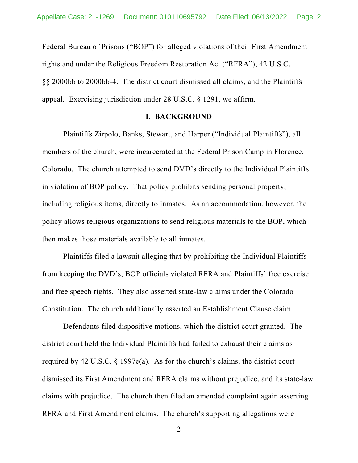Federal Bureau of Prisons ("BOP") for alleged violations of their First Amendment rights and under the Religious Freedom Restoration Act ("RFRA"), 42 U.S.C. §§ 2000bb to 2000bb-4. The district court dismissed all claims, and the Plaintiffs appeal. Exercising jurisdiction under 28 U.S.C. § 1291, we affirm.

## **I. BACKGROUND**

Plaintiffs Zirpolo, Banks, Stewart, and Harper ("Individual Plaintiffs"), all members of the church, were incarcerated at the Federal Prison Camp in Florence, Colorado. The church attempted to send DVD's directly to the Individual Plaintiffs in violation of BOP policy. That policy prohibits sending personal property, including religious items, directly to inmates. As an accommodation, however, the policy allows religious organizations to send religious materials to the BOP, which then makes those materials available to all inmates.

Plaintiffs filed a lawsuit alleging that by prohibiting the Individual Plaintiffs from keeping the DVD's, BOP officials violated RFRA and Plaintiffs' free exercise and free speech rights. They also asserted state-law claims under the Colorado Constitution. The church additionally asserted an Establishment Clause claim.

Defendants filed dispositive motions, which the district court granted. The district court held the Individual Plaintiffs had failed to exhaust their claims as required by 42 U.S.C. § 1997e(a). As for the church's claims, the district court dismissed its First Amendment and RFRA claims without prejudice, and its state-law claims with prejudice. The church then filed an amended complaint again asserting RFRA and First Amendment claims. The church's supporting allegations were

2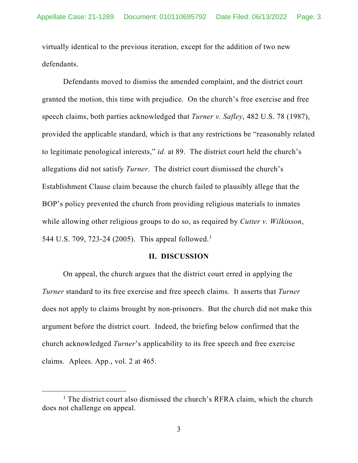virtually identical to the previous iteration, except for the addition of two new defendants.

Defendants moved to dismiss the amended complaint, and the district court granted the motion, this time with prejudice. On the church's free exercise and free speech claims, both parties acknowledged that *Turner v. Safley*, 482 U.S. 78 (1987), provided the applicable standard, which is that any restrictions be "reasonably related to legitimate penological interests," *id.* at 89. The district court held the church's allegations did not satisfy *Turner*. The district court dismissed the church's Establishment Clause claim because the church failed to plausibly allege that the BOP's policy prevented the church from providing religious materials to inmates while allowing other religious groups to do so, as required by *Cutter v. Wilkinson*, 544 U.S. 709, 723-24 (2005). This appeal followed.<sup>[1](#page-2-0)</sup>

## **II. DISCUSSION**

On appeal, the church argues that the district court erred in applying the *Turner* standard to its free exercise and free speech claims. It asserts that *Turner*  does not apply to claims brought by non-prisoners. But the church did not make this argument before the district court. Indeed, the briefing below confirmed that the church acknowledged *Turner*'s applicability to its free speech and free exercise claims. Aplees. App., vol. 2 at 465.

<span id="page-2-0"></span><sup>&</sup>lt;sup>1</sup> The district court also dismissed the church's RFRA claim, which the church does not challenge on appeal.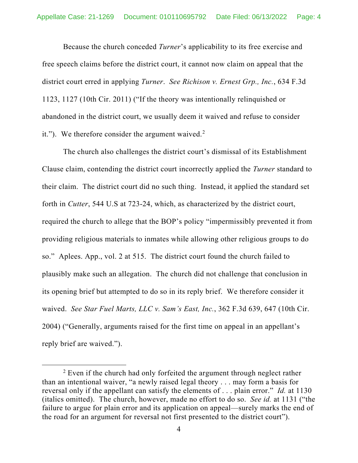Because the church conceded *Turner*'s applicability to its free exercise and free speech claims before the district court, it cannot now claim on appeal that the district court erred in applying *Turner*. *See Richison v. Ernest Grp., Inc.*, 634 F.3d 1123, 1127 (10th Cir. 2011) ("If the theory was intentionally relinquished or abandoned in the district court, we usually deem it waived and refuse to consider it."). We therefore consider the argument waived.<sup>[2](#page-3-0)</sup>

The church also challenges the district court's dismissal of its Establishment Clause claim, contending the district court incorrectly applied the *Turner* standard to their claim. The district court did no such thing. Instead, it applied the standard set forth in *Cutter*, 544 U.S at 723-24, which, as characterized by the district court, required the church to allege that the BOP's policy "impermissibly prevented it from providing religious materials to inmates while allowing other religious groups to do so." Aplees. App., vol. 2 at 515. The district court found the church failed to plausibly make such an allegation. The church did not challenge that conclusion in its opening brief but attempted to do so in its reply brief. We therefore consider it waived. *See Star Fuel Marts, LLC v. Sam's East, Inc.*, 362 F.3d 639, 647 (10th Cir. 2004) ("Generally, arguments raised for the first time on appeal in an appellant's reply brief are waived.").

<span id="page-3-0"></span> $2$  Even if the church had only forfeited the argument through neglect rather than an intentional waiver, "a newly raised legal theory . . . may form a basis for reversal only if the appellant can satisfy the elements of . . . plain error." *Id.* at 1130 (italics omitted). The church, however, made no effort to do so. *See id.* at 1131 ("the failure to argue for plain error and its application on appeal—surely marks the end of the road for an argument for reversal not first presented to the district court").